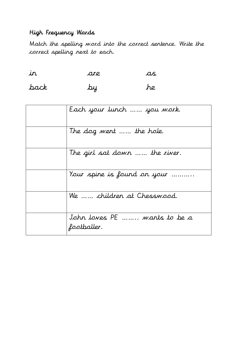## High Frequency Words

Match the spelling word into the correct sentence. Write the correct spelling next to each.

| in   | are | as |
|------|-----|----|
| pack | by  | he |

| Each your lunch  you work.                  |
|---------------------------------------------|
| The dog went  the hole.                     |
| The girl sat down  the river.               |
| Your spine is found on your                 |
| We  children at Chesswood.                  |
| John loves PE  wants to be a<br>footballer. |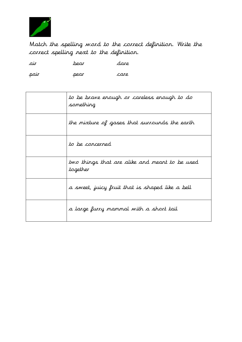

Match the spelling word to the correct definition. Write the correct spelling next to the definition.

| air  | bear | dare |
|------|------|------|
| pair | pear | care |

| to be brave enough or careless enough to do<br>something   |
|------------------------------------------------------------|
| the mixture of gases that surrounds the earth              |
| to be concerned                                            |
| two things that are alike and meant to be used<br>together |
| a sweet, juicy fruit that is shaped like a bell            |
| a large furry mammal with a short tail                     |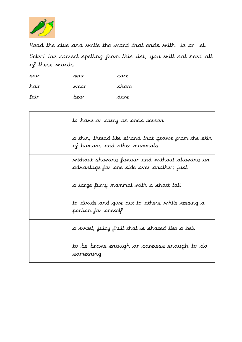

Read the clue and write the word that ends with -le or -el.

Select the correct spelling from this list, you will not need all of these words.

| pair | pear | care  |
|------|------|-------|
| hair | wear | share |
| fair | bear | dare  |

| to have or carry on one's person                                                             |
|----------------------------------------------------------------------------------------------|
| a thin, thread-like strand that grows from the skin<br>of humans and other mammals           |
| without showing favour and without allowing an<br>advantage for one side over another; just. |
| a large furry mammal with a short tail                                                       |
| to divide and give out to others while keeping a<br>portion for oneself                      |
| a sweet, juicy fruit that is shaped like a bell                                              |
| to be brave enough or careless enough to do<br>something                                     |